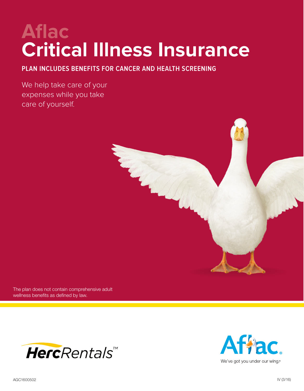# **Aflac Critical Illness Insurance**

**PLAN INCLUDES BENEFITS FOR CANCER AND HEALTH SCREENING**

We help take care of your expenses while you take care of yourself.



The plan does not contain comprehensive adult wellness benefits as defined by law.



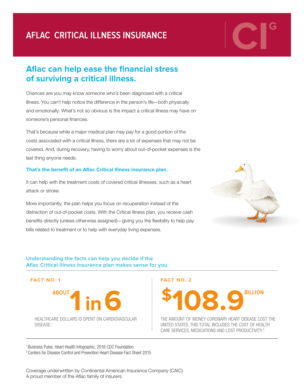## **AFLAC CRITICAL ILLNESS INSURANCE**

## **Aflac can help ease the financial stress of surviving a critical illness.**

Chances are you may know someone who's been diagnosed with a critical illness. You can't help notice the difference in the person's life—both physically and emotionally. What's not so obvious is the impact a critical illness may have on someone's personal finances.

That's because while a major medical plan may pay for a good portion of the costs associated with a critical illness, there are a lot of expenses that may not be covered. And, during recovery, having to worry about out-of-pocket expenses is the last thing anyone needs.

#### **That's the benefit of an Aflac Critical Illness insurance plan.**

It can help with the treatment costs of covered critical illnesses, such as a heart attack or stroke.

More importantly, the plan helps you focus on recuperation instead of the distraction of out-of-pocket costs. With the Critical Illness plan, you receive cash benefits directly (unless otherwise assigned)—giving you the flexibility to help pay bills related to treatment or to help with everyday living expenses.



#### **Understanding the facts can help you decide if the Aflac Critical Illness Insurance plan makes sense for you.**



THE AMOUNT OF MONEY CORONARY HEART DISEASE COST THE UNITED STATES. THIS TOTAL INCLUDES THE COST OF HEALTH CARE SERVICES, MEDICATIONS AND LOST PRODUCTIVITY.2

1 Business Pulse, Heart Health Infographic, 2016 CDC Foundation.

2 Centers for Disease Control and Prevention Heart Disease Fact Sheet 2015

Coverage underwritten by Continental American Insurance Company (CAIC) A proud member of the Aflac family of insurers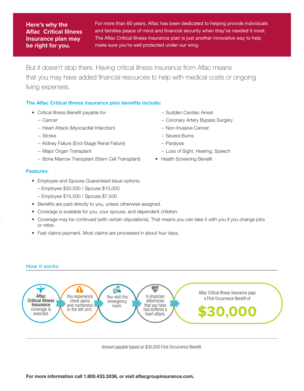#### **Here's why the Aflac Critical Illness Insurance plan may be right for you.**

**CIGRATE:** Here's why the For more than 60 years, Aflac has been dedicated to helping provide individuals and families peace of mind and financial security when they've needed it most.<br> **CIGRATE:** Insurance plan may The Af and families peace of mind and financial security when they've needed it most. The Aflac Critical Illness Insurance plan is just another innovative way to help make sure you're well protected under our wing.

> But it doesn't stop there. Having critical illness insurance from Aflac means that you may have added financial resources to help with medical costs or ongoing living expenses.

#### **The Aflac Critical Illness insurance plan benefits include:**

- Critical Illness Benefit payable for:
	- Cancer
	- Heart Attack (Myocardial Infarction)
	- Stroke
	- Kidney Failure (End-Stage Renal Failure)
	- Major Organ Transplant
	- Bone Marrow Transplant (Stem Cell Transplant)

#### **Features:**

- Employee and Spouse Guaranteed Issue options:
	- Employee \$30,000 / Spouse \$15,000
	- Employee \$15,000 / Spouse \$7,500
- Benefits are paid directly to you, unless otherwise assigned.
- Coverage is available for you, your spouse, and dependent children.
- Coverage may be continued (with certain stipulations). That means you can take it with you if you change jobs or retire.
- Fast claims payment. Most claims are processed in about four days.

#### **How it works**



Amount payable based on \$30,000 First Occurrence Benefit.

- Sudden Cardiac Arrest
- Coronary Artery Bypass Surgery
- Non-Invasive Cancer
- Severe Burns
- Paralysis
- Loss of Sight, Hearing, Speech
- Health Screening Benefit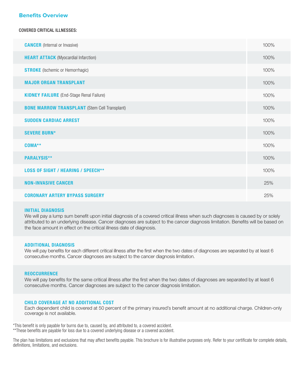#### **Benefits Overview**

#### COVERED CRITICAL ILLNESSES:

| <b>CANCER</b> (Internal or Invasive)                 | 100% |
|------------------------------------------------------|------|
| <b>HEART ATTACK</b> (Myocardial Infarction)          | 100% |
| <b>STROKE</b> (Ischemic or Hemorrhagic)              | 100% |
| <b>MAJOR ORGAN TRANSPLANT</b>                        | 100% |
| <b>KIDNEY FAILURE</b> (End-Stage Renal Failure)      | 100% |
| <b>BONE MARROW TRANSPLANT</b> (Stem Cell Transplant) | 100% |
| <b>SUDDEN CARDIAC ARREST</b>                         | 100% |
| <b>SEVERE BURN*</b>                                  | 100% |
| COMA**                                               | 100% |
| <b>PARALYSIS**</b>                                   | 100% |
| <b>LOSS OF SIGHT / HEARING / SPEECH**</b>            | 100% |
| <b>NON-INVASIVE CANCER</b>                           | 25%  |
| <b>CORONARY ARTERY BYPASS SURGERY</b>                | 25%  |

#### INITIAL DIAGNOSIS

We will pay a lump sum benefit upon initial diagnosis of a covered critical illness when such diagnoses is caused by or solely attributed to an underlying disease. Cancer diagnoses are subject to the cancer diagnosis limitation. Benefits will be based on the face amount in effect on the critical illness date of diagnosis.

#### ADDITIONAL DIAGNOSIS

We will pay benefits for each different critical illness after the first when the two dates of diagnoses are separated by at least 6 consecutive months. Cancer diagnoses are subject to the cancer diagnosis limitation.

#### REOCCURRENCE

We will pay benefits for the same critical illness after the first when the two dates of diagnoses are separated by at least 6 consecutive months. Cancer diagnoses are subject to the cancer diagnosis limitation.

#### CHILD COVERAGE AT NO ADDITIONAL COST

Each dependent child is covered at 50 percent of the primary insured's benefit amount at no additional charge. Children-only coverage is not available.

\*This benefit is only payable for burns due to, caused by, and attributed to, a covered accident. \*\*These benefits are payable for loss due to a covered underlying disease or a covered accident.

The plan has limitations and exclusions that may affect benefits payable. This brochure is for illustrative purposes only. Refer to your certificate for complete details, definitions, limitations, and exclusions.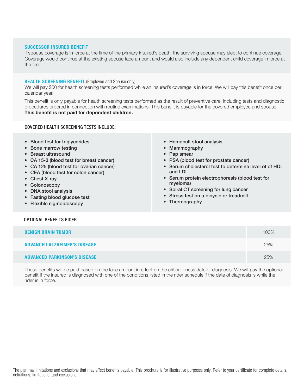#### SUCCESSOR INSURED BENEFIT

If spouse coverage is in force at the time of the primary insured's death, the surviving spouse may elect to continue coverage. Coverage would continue at the existing spouse face amount and would also include any dependent child coverage in force at the time.

#### **HEALTH SCREENING BENEFIT** (Employee and Spouse only)

We will pay \$50 for health screening tests performed while an insured's coverage is in force. We will pay this benefit once per calendar year.

This benefit is only payable for health screening tests performed as the result of preventive care, including tests and diagnostic procedures ordered in connection with routine examinations. This benefit is payable for the covered employee and spouse. **This benefit is not paid for dependent children.**

#### COVERED HEALTH SCREENING TESTS INCLUDE:

- Blood test for triglycerides
- Bone marrow testing
- Breast ultrasound
- CA 15-3 (blood test for breast cancer)
- CA 125 (blood test for ovarian cancer)
- CEA (blood test for colon cancer)
- Chest X-ray
- Colonoscopy
- DNA stool analysis
- Fasting blood glucose test
- Flexible sigmoidoscopy
- Hemocult stool analysis
- Mammography
- Pap smear
- PSA (blood test for prostate cancer)
- Serum cholesterol test to determine level of of HDL and LDL
- Serum protein electrophoresis (blood test for myeloma)
- Spiral CT screening for lung cancer
- Stress test on a bicycle or treadmill
- Thermography

#### OPTIONAL BENEFITS RIDER

| <b>BENIGN BRAIN TUMOR</b>           | 100% |
|-------------------------------------|------|
| <b>ADVANCED ALZHEIMER'S DISEASE</b> | 25%  |
| <b>ADVANCED PARKINSON'S DISEASE</b> | 25%  |

These benefits will be paid based on the face amount in effect on the critical illness date of diagnosis. We will pay the optional benefit if the insured is diagnosed with one of the conditions listed in the rider schedule if the date of diagnosis is while the rider is in force.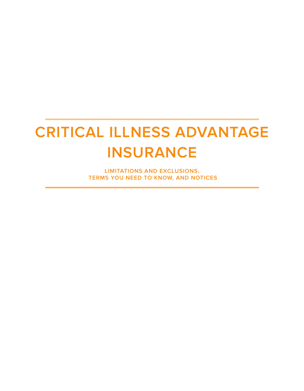## **CRITICAL ILLNESS ADVANTAGE INSURANCE**

**LIMITATIONS AND EXCLUSIONS, TERMS YOU NEED TO KNOW, AND NOTICES**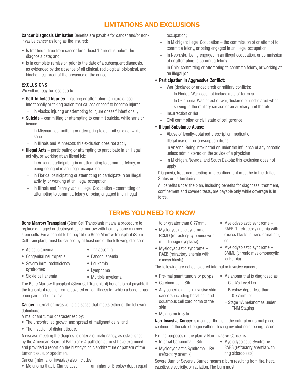### **LIMITATIONS AND EXCLUSIONS**

Cancer Diagnosis Limitation Benefits are payable for cancer and/or noninvasive cancer as long as the insured:

- Is treatment-free from cancer for at least 12 months before the diagnosis date; and
- Is in complete remission prior to the date of a subsequent diagnosis, as evidenced by the absence of all clinical, radiological, biological, and biochemical proof of the presence of the cancer.

#### EXCLUSIONS

We will not pay for loss due to:

- Self-Inflicted Injuries injuring or attempting to injure oneself intentionally or taking action that causes oneself to become injured;
	- − In Alaska: injuring or attempting to injure oneself intentionally
- **Suicide** committing or attempting to commit suicide, while sane or insane;
	- In Missouri: committing or attempting to commit suicide, while sane
	- − In Illinois and Minnesota: this exclusion does not apply
- Illegal Acts participating or attempting to participate in an illegal activity, or working at an illegal job:
	- − In Arizona: participating in or attempting to commit a felony, or being engaged in an illegal occupation;
	- − In Florida: participating or attempting to participate in an illegal activity, or working at an illegal occupation;
	- − In Illinois and Pennsylvania: Illegal Occupation committing or attempting to commit a felony or being engaged in an illegal

occupation;

- − In Michigan: Illegal Occupation the commission of or attempt to commit a felony, or being engaged in an illegal occupation;
- − In Nebraska: being engaged in an illegal occupation, or commission of or attempting to commit a felony;
- − In Ohio: committing or attempting to commit a felony, or working at an illegal job

#### • Participation in Aggressive Conflict:

- − War (declared or undeclared) or military conflicts;
	- -In Florida: War does not include acts of terrorism
	- -In Oklahoma: War, or act of war, declared or undeclared when serving in the military service or an auxiliary unit thereto
- − Insurrection or riot
- − Civil commotion or civil state of belligerence

#### • Illegal Substance Abuse:

- − Abuse of legally-obtained prescription medication
- − Illegal use of non-prescription drugs
- − In Arizona: Being intoxicated or under the influence of any narcotic unless administered on the advice of a physician
- − In Michigan, Nevada, and South Dakota: this exclusion does not apply

Diagnosis, treatment, testing, and confinement must be in the United States or its territories.

All benefits under the plan, including benefits for diagnoses, treatment, confinement and covered tests, are payable only while coverage is in force.

or

### **TERMS YOU NEED TO KNOW**

**Bone Marrow Transplant** (Stem Cell Transplant) means a procedure to replace damaged or destroyed bone marrow with healthy bone marrow stem cells. For a benefit to be payable, a Bone Marrow Transplant (Stem Cell Transplant) must be caused by at least one of the following diseases:

• Aplastic anemia

• Sickle cell anemia

- Thalassemia
- Congenital neutropenia
- Fanconi anemia
- Severe immunodeficiency syndromes
- 
- 
- The Bone Marrow Transplant (Stem Cell Transplant) benefit is not payable if the transplant results from a covered critical illness for which a benefit has been paid under this plan.

**Cancer** (internal or invasive) is a disease that meets either of the following definitions:

A malignant tumor characterized by:

- The uncontrolled growth and spread of malignant cells, and
- The invasion of distant tissue.

A disease meeting the diagnostic criteria of malignancy, as established by the American Board of Pathology. A pathologist must have examined and provided a report on the histocytologic architecture or pattern of the tumor, tissue, or specimen.

Cancer (internal or invasive) also includes:

• Melanoma that is Clark's Level III or higher or Breslow depth equal

to or greater than 0.77mm.

- Myelodysplastic syndrome RCMD (refractory cytopenia with multilineage dysplasia),
- Myelodysplastic syndrome RAEB (refractory anemia with excess blasts),
- Myelodysplastic syndrome CMML (chronic myelomonocytic leukemia).

−Clark's Level I or II, −Breslow depth less than 0.77mm, or

• Myelodysplastic syndrome – RAEB-T (refractory anemia with excess blasts in transformation),

The following are not considered internal or invasive cancers:

- Pre-malignant tumors or polyps • Melanoma that is diagnosed as
- Carcinomas in Situ
- Any superficial, non-invasive skin cancers including basal cell and squamous cell carcinoma of the skin
- Melanoma in Situ

Non-Invasive Cancer is a cancer that is in the natural or normal place, confined to the site of origin without having invaded neighboring tissue.

For the purposes of the plan, a Non-Invasive Cancer is:

- Internal Carcinoma in Situ
- Myelodysplastic Syndrome RA (refractory anemia)
- Myelodysplastic Syndrome RARS (refractory anemia with ring sideroblasts)

−Stage 1A melanomas under TNM Staging

Severe Burn or Severely Burned means a burn resulting from fire, heat, caustics, electricity, or radiation. The burn must:

- 
- Lymphoma
- - Multiple myeloma
- Leukemia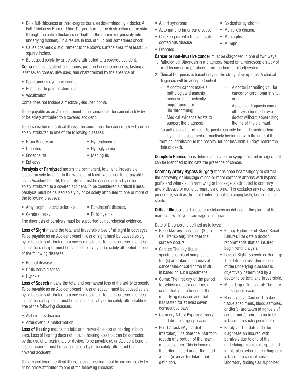- Be a full-thickness or third-degree burn, as determined by a doctor. A Full-Thickness Burn or Third-Degree Burn is the destruction of the skin through the entire thickness or depth of the dermis (or possibly into underlying tissues). This results in loss of fluid and sometimes shock.
- Cause cosmetic disfigurement to the body's surface area of at least 35 square inches.
- Be caused solely by or be solely attributed to a covered accident.

Coma means a state of continuous, profound unconsciousness, lasting at least seven consecutive days, and characterized by the absence of:

- Spontaneous eye movements,
- Response to painful stimuli, and
- Vocalization.

Coma does not include a medically-induced coma.

To be payable as an Accident benefit, the coma must be caused solely by or be solely attributed to a covered accident.

To be considered a critical illness, the coma must be caused solely by or be solely attributed to one of the following diseases:

- Brain Aneurysm
- Hyperglycemia

• Diabetes

• Hypoglycemia

• Poliomyelitis

- Encephalitis
- Meningitis

• Epilepsy

Paralysis or Paralyzed means the permanent, total, and irreversible loss of muscle function to the whole of at least two limbs. To be payable as an Accident benefit, the paralysis must be caused solely by or be solely attributed to a covered accident. To be considered a critical illness, paralysis must be caused solely by or be solely attributed to one or more of the following diseases:

- Amyotrophic lateral sclerosis • Parkinson's disease,
- Cerebral palsy

The diagnosis of paralysis must be supported by neurological evidence.

Loss of Sight means the total and irreversible loss of all sight in both eyes. To be payable as an Accident benefit, loss of sight must be caused solely by or be solely attributed to a covered accident. To be considered a critical illness, loss of sight must be caused solely by or be solely attributed to one of the following diseases:

- Retinal disease
- Optic nerve disease
- Hypoxia

Loss of Speech means the total and permanent loss of the ability to speak. To be payable as an Accident benefit, loss of speech must be caused solely by or be solely attributed to a covered accident. To be considered a critical illness, loss of speech must be caused solely by or be solely attributable to one of the following diseases:

- Alzheimer's disease
- Arteriovenous malformation

Loss of Hearing means the total and irreversible loss of hearing in both ears. Loss of hearing does not include hearing loss that can be corrected by the use of a hearing aid or device. To be payable as an Accident benefit, loss of hearing must be caused solely by or be solely attributed to a covered accident.

To be considered a critical illness, loss of hearing must be caused solely by or be solely attributed to one of the following diseases:

- Alport syndrome
- Autoimmune inner ear disease
- Chicken pox, which is an acute contagious disease
- Diabetes

**Cancer or non-invasive cancer** must be diagnosed in one of two ways:

- 1. Pathological Diagnosis is a diagnosis based on a microscopic study of fixed tissue or preparations from the hemic (blood) system.
- 2. Clinical Diagnosis is based only on the study of symptoms. A clinical diagnosis will be accepted only if:
	- − A doctor cannot make a pathological diagnosis because it is medically inappropriate or life-threatening,
- − A doctor is treating you for cancer or carcinoma in situ, or

− A positive diagnosis cannot otherwise be made by a doctor without jeopardizing the life of the claimant.

− Medical evidence exists to support the diagnosis,

If a pathological or clinical diagnosis can only be made postmortem, liability shall be assumed retroactively beginning with the date of the terminal admission to the hospital for not less than 45 days before the date of death.

**Complete Remission** is defined as having no symptoms and no signs that can be identified to indicate the presence of cancer.

**Coronary Artery Bypass Surgery** means open heart surgery to correct the narrowing or blockage of one or more coronary arteries with bypass grafts and where such narrowing or blockage is attributed to coronary artery disease or acute coronary syndrome. This excludes any non-surgical procedure, such as, but not limited to, balloon angioplasty, laser relief, or stents.

**Critical Illness** is a disease or a sickness as defined in the plan that first manifests while your coverage is in force.

Date of Diagnosis is defined as follows:

- Bone Marrow Transplant (Stem Cell Transplant): The date the surgery occurs.
- Cancer: The day tissue specimens, blood samples, or titer(s) are taken (diagnosis of cancer and/or carcinoma in situ is based on such specimens).
- Coma: The first day of the period for which a doctor confirms a coma that is due to one of the underlying diseases and that has lasted for at least seven consecutive days.
- Coronary Artery Bypass Surgery: The date the surgery occurs.
- Heart Attack (Myocardial Infarction): The date the infarction (death) of a portion of the heart muscle occurs. This is based on the criteria listed under the heart attack (myocardial Infarction) definition.
- Kidney Failure (End-Stage Renal Failure): The date a doctor recommends that an insured begin renal dialysis.
- Loss of Sight, Speech, or Hearing: The date the loss due to one of the underlying diseases is objectively determined by a doctor to be total and irreversible.
- Major Organ Transplant: The date the surgery occurs.
- Non-Invasive Cancer: The day tissue specimens, blood samples, or titer(s) are taken (diagnosis of cancer and/or carcinoma in situ is based on such specimens).
- Paralysis: The date a doctor diagnoses an insured with paralysis due to one of the underlying diseases as specified in this plan, where such diagnosis is based on clinical and/or laboratory findings as supported
- Goldenhar syndrome
- Meniere's disease
- Meningitis
- Mumps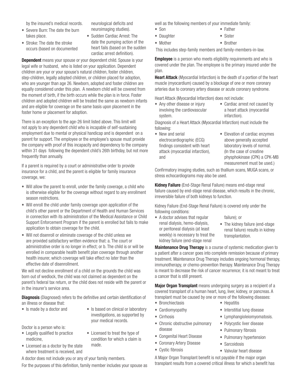by the insured's medical records.

• Severe Burn: The date the burn takes place.

neurological deficits and neuroimaging studies).

• Stroke: The date the stroke occurs (based on documented • Sudden Cardiac Arrest: The date the pumping action of the heart fails (based on the sudden cardiac arrest definition).

**Dependent** means your spouse or your dependent child. Spouse is your legal wife or husband, who is listed on your application. Dependent children are your or your spouse's natural children, foster children, step-children, legally adopted children, or children placed for adoption, who are younger than age 26. Newborn, adopted and foster children are equally considered under this plan. A newborn child will be covered from the moment of birth, if the birth occurs while the plan is in force. Foster children and adopted children will be treated the same as newborn infants and are eligible for coverage on the same basis upon placement in the foster home or placement for adoption.

There is an exception to the age-26 limit listed above. This limit will not apply to any dependent child who is incapable of self-sustaining employment due to mental or physical handicap and is dependent on a parent for support. The employee or the employee's spouse must provide the company with proof of this incapacity and dependency to the company within 31 days following the dependent child's 26th birthday, but not more frequently than annually.

If a parent is required by a court or administrative order to provide insurance for a child, and the parent is eligible for family insurance coverage, we:

- Will allow the parent to enroll, under the family coverage, a child who is otherwise eligible for the coverage without regard to any enrollment season restrictions.
- Will enroll the child under family coverage upon application of the child's other parent or the Department of Health and Human Services in connection with its administration of the Medical Assistance or Child Support Enforcement Program if the parent is enrolled but fails to make application to obtain coverage for the child.
- Will not disenroll or eliminate coverage of the child unless we are provided satisfactory written evidence that: a. The court or administrative order is no longer in effect; or b. The child is or will be enrolled in comparable health benefit plan coverage through another health insurer, which coverage will take effect no later than the effective date of disenrollment.

We will not decline enrollment of a child on the grounds the child was born out of wedlock, the child was not claimed as dependent on the parent's federal tax return, or the child does not reside with the parent or in the insurer's service area.

**Diagnosis** (Diagnosed) refers to the definitive and certain identification of an illness or disease that:

- 
- Is made by a doctor and Is based on clinical or laboratory investigations, as supported by your medical records.

• Licensed to treat the type of

- Doctor is a person who is:
- Legally qualified to practice medicine,
- Licensed as a doctor by the state where treatment is received, and condition for which a claim is made.

A doctor does not include you or any of your family members.

For the purposes of this definition, family member includes your spouse as

well as the following members of your immediate family:

- Father
- Daughter
- Mother

• Son

This includes step-family members and family-members-in-law.

**Employee** is a person who meets eligibility requirements and who is covered under the plan. The employee is the primary insured under the plan.

Heart Attack (Myocardial Infarction) is the death of a portion of the heart muscle (myocardium) caused by a blockage of one or more coronary arteries due to coronary artery disease or acute coronary syndrome.

Heart Attack (Myocardial Infarction) does not include:

- Any other disease or injury involving the cardiovascular system.
- Cardiac arrest not caused by a heart attack (myocardial infarction).

Diagnosis of a Heart Attack (Myocardial Infarction) must include the following:

- New and serial electrocardiographic (ECG) findings consistent with heart attack (myocardial infarction), and
- Elevation of cardiac enzymes above generally accepted laboratory levels of normal. (In the case of creatine physphokinase (CPK) a CPK-MB measurement must be used.)

Confirmatory imaging studies, such as thallium scans, MUGA scans, or stress echocardiograms may also be used.

Kidney Failure (End-Stage Renal Failure) means end-stage renal failure caused by end-stage renal disease, which results in the chronic, irreversible failure of both kidneys to function.

Kidney Failure (End-Stage Renal Failure) is covered only under the following conditions:

- A doctor advises that regular renal dialysis, hemo-dialysis, or peritoneal dialysis (at least weekly) is necessary to treat the kidney failure (end-stage renal
- failure); or
- The kidney failure (end-stage renal failure) results in kidney transplantation.

**Maintenance Drug Therapy** is a course of systemic medication given to a patient after a cancer goes into complete remission because of primary treatment. Maintenance Drug Therapy includes ongoing hormonal therapy, immunotherapy, or chemo-prevention therapy. Maintenance Drug Therapy is meant to decrease the risk of cancer recurrence; it is not meant to treat a cancer that is still present.

Major Organ Transplant means undergoing surgery as a recipient of a covered transplant of a human heart, lung, liver, kidney, or pancreas. A transplant must be caused by one or more of the following diseases:

- Bronchiectasis
- Cardiomyopathy
- Cirrhosis
- Chronic obstructive pulmonary disease
- Congenital Heart Disease
- Coronary Artery Disease
- Cystic fibrosis
- Hepatitis
- Interstitial lung disease
- Lymphangioleiomyomatosis.
- Polycystic liver disease
- Pulmonary fibrosis
- Pulmonary hypertension
- Sarcoidosis
- Valvular heart disease

A Major Organ Transplant benefit is not payable if the major organ transplant results from a covered critical illness for which a benefit has

- Sister
- Brother
-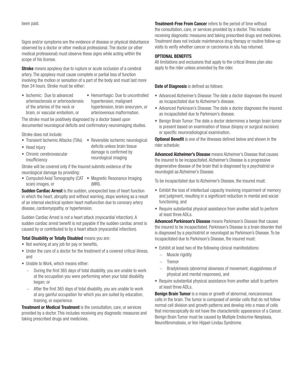Signs and/or symptoms are the evidence of disease or physical disturbance observed by a doctor or other medical professional. The doctor (or other medical professional) must observe these signs while acting within the scope of his license.

**Stroke** means apoplexy due to rupture or acute occlusion of a cerebral artery. The apoplexy must cause complete or partial loss of function involving the motion or sensation of a part of the body and must last more than 24 hours. Stroke must be either:

• Ischemic: Due to advanced arteriosclerosis or arteriosclerosis of the arteries of the neck or brain, or vascular embolism, or • Hemorrhagic: Due to uncontrolled hypertension, malignant hypertension, brain aneurysm, or arteriovenous malformation.

The stroke must be positively diagnosed by a doctor based upon documented neurological deficits and confirmatory neuroimaging studies.

Stroke does not include:

• Chronic cerebrovascular

- Transient Ischemic Attacks (TIAs) Reversible ischemic neurological
- Head injury
- deficits unless brain tissue damage is confirmed by neurological imaging
- insufficiency Stroke will be covered only if the Insured submits evidence of the neurological damage by providing:
- Computed Axial Tomography (CAT Magnetic Resonance Imaging scan) images, or (MRI).

**Sudden Cardiac Arrest** is the sudden, unexpected loss of heart function in which the heart, abruptly and without warning, stops working as a result of an internal electrical system heart malfunction due to coronary artery disease, cardiomyopathy, or hypertension.

Sudden Cardiac Arrest is not a heart attack (myocardial infarction). A sudden cardiac arrest benefit is not payable if the sudden cardiac arrest is caused by or contributed to by a heart attack (myocardial infarction).

#### **Total Disability or Totally Disabled means you are:**

- Not working at any job for pay or benefits,
- Under the care of a doctor for the treatment of a covered critical illness, and
- Unable to Work, which means either:
	- During the first 365 days of total disability, you are unable to work at the occupation you were performing when your total disability began; or
	- − After the first 365 days of total disability, you are unable to work at any gainful occupation for which you are suited by education, training, or experience.

Treatment or Medical Treatment is the consultation, care, or services provided by a doctor. This includes receiving any diagnostic measures and taking prescribed drugs and medicines.

**Treatment-Free From Cancer** refers to the period of time without the consultation, care, or services provided by a doctor. This includes receiving diagnostic measures and taking prescribed drugs and medicines. Treatment does not include maintenance drug therapy or routine follow-up visits to verify whether cancer or carcinoma in situ has returned.

#### OPTIONAL BENEFITS

All limitations and exclusions that apply to the critical illness plan also apply to the rider unless amended by the rider.

#### Date of Diagnosis is defined as follows:

- Advanced Alzheimer's Disease: The date a doctor diagnoses the insured as incapacitated due to Alzheimer's disease.
- Advanced Parkinson's Disease: The date a doctor diagnoses the insured as incapacitated due to Parkinson's disease.
- Benign Brain Tumor: The date a doctor determines a benign brain tumor is present based on examination of tissue (biopsy or surgical excision) or specific neuroradiological examination.

**Optional Benefit** is one of the illnesses defined below and shown in the rider schedule:

Advanced Alzheimer's Disease means Alzheimer's Disease that causes the insured to be incapacitated. Alzheimer's Disease is a progressive degenerative disease of the brain that is diagnosed by a psychiatrist or neurologist as Alzheimer's Disease.

To be incapacitated due to Alzheimer's Disease, the insured must:

- Exhibit the loss of intellectual capacity involving impairment of memory and judgment, resulting in a significant reduction in mental and social functioning, and
- Require substantial physical assistance from another adult to perform at least three ADLs.

Advanced Parkinson's Disease means Parkinson's Disease that causes the insured to be incapacitated. Parkinson's Disease is a brain disorder that is diagnosed by a psychiatrist or neurologist as Parkinson's Disease. To be incapacitated due to Parkinson's Disease, the insured must:

- Exhibit at least two of the following clinical manifestations:
	- − Muscle rigidity
	- − Tremor
	- Bradykinesis (abnormal slowness of movement, sluggishness of physical and mental responses), and
- Require substantial physical assistance from another adult to perform at least three ADLs.

Benign Brain Tumor is a mass or growth of abnormal, noncancerous cells in the brain. The tumor is composed of similar cells that do not follow normal cell division and growth patterns and develop into a mass of cells that microscopically do not have the characteristic appearance of a Cancer. Benign Brain Tumor must be caused by Multiple Endocrine Neoplasia, Neurofibromatosis, or Von Hippel-Lindau Syndrome.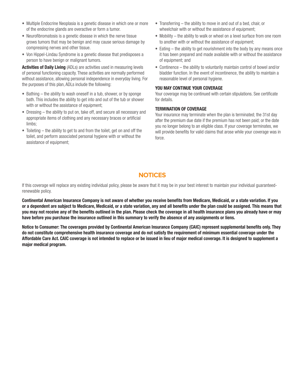- Multiple Endocrine Neoplasia is a genetic disease in which one or more of the endocrine glands are overactive or form a tumor.
- Neurofibromatosis is a genetic disease in which the nerve tissue grows tumors that may be benign and may cause serious damage by compressing nerves and other tissue.
- Von Hippel-Lindau Syndrome is a genetic disease that predisposes a person to have benign or malignant tumors.

Activities of Daily Living (ADLs) are activities used in measuring levels of personal functioning capacity. These activities are normally performed without assistance, allowing personal independence in everyday living. For the purposes of this plan, ADLs include the following:

- Bathing the ability to wash oneself in a tub, shower, or by sponge bath. This includes the ability to get into and out of the tub or shower with or without the assistance of equipment;
- Dressing the ability to put on, take off, and secure all necessary and appropriate items of clothing and any necessary braces or artificial limbs;
- Toileting the ability to get to and from the toilet, get on and off the toilet, and perform associated personal hygiene with or without the assistance of equipment;
- Transferring the ability to move in and out of a bed, chair, or wheelchair with or without the assistance of equipment;
- Mobility the ability to walk or wheel on a level surface from one room to another with or without the assistance of equipment;
- Eating the ability to get nourishment into the body by any means once it has been prepared and made available with or without the assistance of equipment; and
- Continence the ability to voluntarily maintain control of bowel and/or bladder function. In the event of incontinence, the ability to maintain a reasonable level of personal hygiene.

#### YOU MAY CONTINUE YOUR COVERAGE

Your coverage may be continued with certain stipulations. See certificate for details.

#### TERMINATION OF COVERAGE

Your insurance may terminate when the plan is terminated; the 31st day after the premium due date if the premium has not been paid; or the date you no longer belong to an eligible class. If your coverage terminates, we will provide benefits for valid claims that arose while your coverage was in force.

### **NOTICES**

If this coverage will replace any existing individual policy, please be aware that it may be in your best interest to maintain your individual guaranteedrenewable policy.

Continental American Insurance Company is not aware of whether you receive benefits from Medicare, Medicaid, or a state variation. If you or a dependent are subject to Medicare, Medicaid, or a state variation, any and all benefits under the plan could be assigned. This means that you may not receive any of the benefits outlined in the plan. Please check the coverage in all health insurance plans you already have or may have before you purchase the insurance outlined in this summary to verify the absence of any assignments or liens.

Notice to Consumer: The coverages provided by Continental American Insurance Company (CAIC) represent supplemental benefits only. They do not constitute comprehensive health insurance coverage and do not satisfy the requirement of minimum essential coverage under the Affordable Care Act. CAIC coverage is not intended to replace or be issued in lieu of major medical coverage. It is designed to supplement a major medical program.